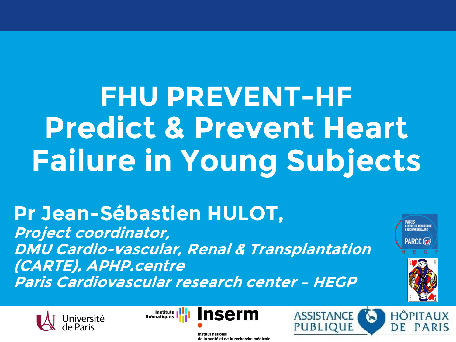**FHU PREVENT-HF Predict & Prevent Heart Failure in Young Subjects**

# **Pr Jean-Sébastien HULOT,**

**Project coordinator, DMU Cardio-vascular, Renal & Transplantation (CARTE), APHP.centre Paris Cardiovascular research center – HEGP** 





**Institut national** de la santé et de la recherche médicale



**PARIS<br>Centre de Recherche<br>Cardiova Sculaire** 

PARCC<sub>(O</sub>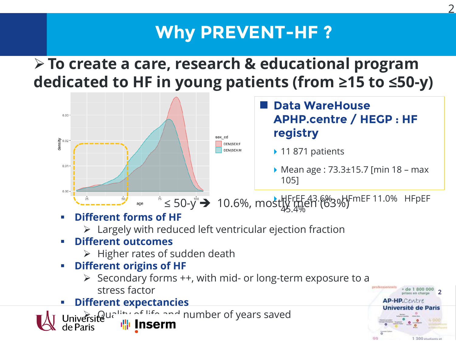## **Why PREVENT-HF ?**

2

1 300 studiants of

## **To create a care, research & educational program dedicated to HF in young patients (from ≥15 to ≤50-y)**

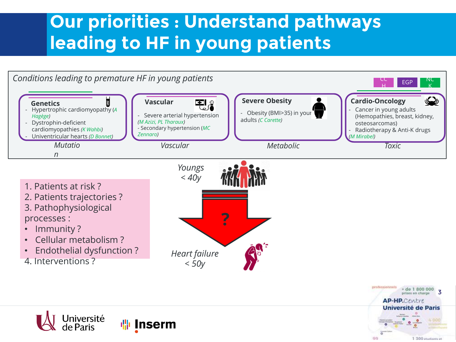## **Our priorities : Understand pathways leading to HF in young patients**





1 300 Atudiants of

**AP-HP.**Centre **Université de Paris**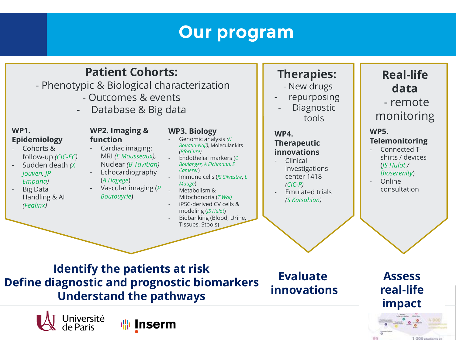## **Our program**

### **Patient Cohorts:**

- Phenotypic & Biological characterization

- Outcomes & events
- Database & Big data

#### **WP1. Epidemiology**

- Cohorts & follow-up *(CIC-EC)*
- Sudden death *(X Jouven, JP Empana)*
- Big Data Handling & AI *(Fealinx)*

#### **WP2. Imaging & function**

- Cardiac imaging: MRI *(E Mousseaux),*  Nuclear *(B Tavitian)*
- **Echocardiography** (*A Hagege*)
- Vascular imaging (*P Boutouyrie*)

#### **WP3. Biology**

- Genomic analysis *(N Bouatia-Naji),* Molecular kits *(BforCure)*
- Endothelial markers (*C Boulanger, A Eichmann, E Camerer*)
- Immune cells (*JS Silvestre*, *L Mauge*)
- Metabolism & Mitochondria (*T Wai)*
- iPSC-derived CV cells & modeling (*JS Hulot*)
- Biobanking (Blood, Urine, Tissues, Stools)

### **Therapies:**

- New drugs
- repurposing
	- **Diagnostic** tools

### **WP4.**

#### **Therapeutic innovations**

- Clinical investigations center 1418 *(CIC-P)*
- Emulated trials *(S Katsahian)*

### **Real-life data** - remote

monitoring

#### **WP5.**

#### **Telemonitoring**

- Connected Tshirts / devices (*JS Hulot / Bioserenity*)
- Online consultation

**Identify the patients at risk Define diagnostic and prognostic biomarkers Understand the pathways**

**Iserm** 

Université

de Paris

**Evaluate innovations**

**Assess real-life impact**